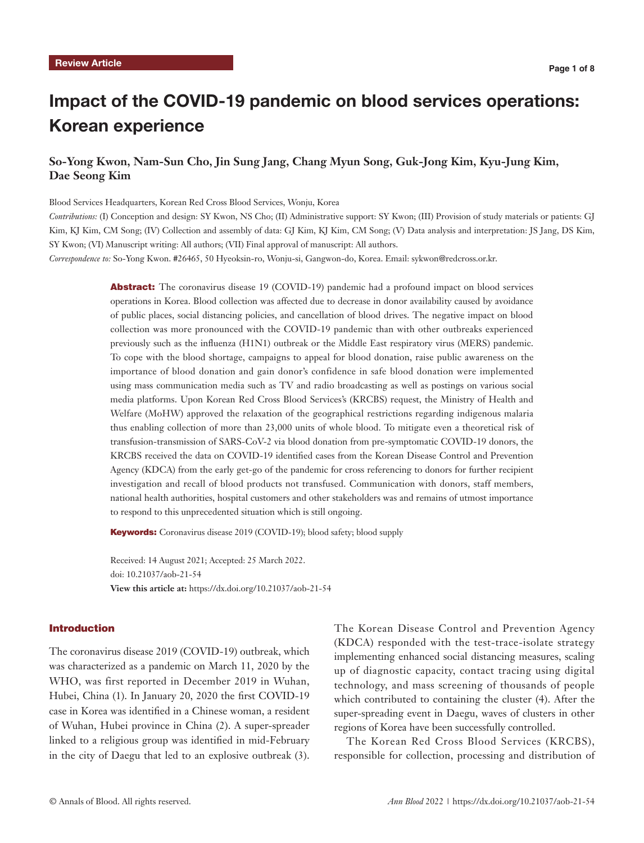# Impact of the COVID-19 pandemic on blood services operations: Korean experience

# **So-Yong Kwon, Nam-Sun Cho, Jin Sung Jang, Chang Myun Song, Guk-Jong Kim, Kyu-Jung Kim, Dae Seong Kim**

Blood Services Headquarters, Korean Red Cross Blood Services, Wonju, Korea

*Contributions:* (I) Conception and design: SY Kwon, NS Cho; (II) Administrative support: SY Kwon; (III) Provision of study materials or patients: GJ Kim, KJ Kim, CM Song; (IV) Collection and assembly of data: GJ Kim, KJ Kim, CM Song; (V) Data analysis and interpretation: JS Jang, DS Kim, SY Kwon; (VI) Manuscript writing: All authors; (VII) Final approval of manuscript: All authors.

*Correspondence to:* So-Yong Kwon. #26465, 50 Hyeoksin-ro, Wonju-si, Gangwon-do, Korea. Email: sykwon@redcross.or.kr.

Abstract: The coronavirus disease 19 (COVID-19) pandemic had a profound impact on blood services operations in Korea. Blood collection was affected due to decrease in donor availability caused by avoidance of public places, social distancing policies, and cancellation of blood drives. The negative impact on blood collection was more pronounced with the COVID-19 pandemic than with other outbreaks experienced previously such as the influenza (H1N1) outbreak or the Middle East respiratory virus (MERS) pandemic. To cope with the blood shortage, campaigns to appeal for blood donation, raise public awareness on the importance of blood donation and gain donor's confidence in safe blood donation were implemented using mass communication media such as TV and radio broadcasting as well as postings on various social media platforms. Upon Korean Red Cross Blood Services's (KRCBS) request, the Ministry of Health and Welfare (MoHW) approved the relaxation of the geographical restrictions regarding indigenous malaria thus enabling collection of more than 23,000 units of whole blood. To mitigate even a theoretical risk of transfusion-transmission of SARS-CoV-2 via blood donation from pre-symptomatic COVID-19 donors, the KRCBS received the data on COVID-19 identified cases from the Korean Disease Control and Prevention Agency (KDCA) from the early get-go of the pandemic for cross referencing to donors for further recipient investigation and recall of blood products not transfused. Communication with donors, staff members, national health authorities, hospital customers and other stakeholders was and remains of utmost importance to respond to this unprecedented situation which is still ongoing.

Keywords: Coronavirus disease 2019 (COVID-19); blood safety; blood supply

Received: 14 August 2021; Accepted: 25 March 2022. doi: 10.21037/aob-21-54 **View this article at:** https://dx.doi.org/10.21037/aob-21-54

# Introduction

The coronavirus disease 2019 (COVID-19) outbreak, which was characterized as a pandemic on March 11, 2020 by the WHO, was first reported in December 2019 in Wuhan, Hubei, China (1). In January 20, 2020 the first COVID-19 case in Korea was identified in a Chinese woman, a resident of Wuhan, Hubei province in China (2). A super-spreader linked to a religious group was identified in mid-February in the city of Daegu that led to an explosive outbreak (3).

The Korean Disease Control and Prevention Agency (KDCA) responded with the test-trace-isolate strategy implementing enhanced social distancing measures, scaling up of diagnostic capacity, contact tracing using digital technology, and mass screening of thousands of people which contributed to containing the cluster (4). After the super-spreading event in Daegu, waves of clusters in other regions of Korea have been successfully controlled.

The Korean Red Cross Blood Services (KRCBS), responsible for collection, processing and distribution of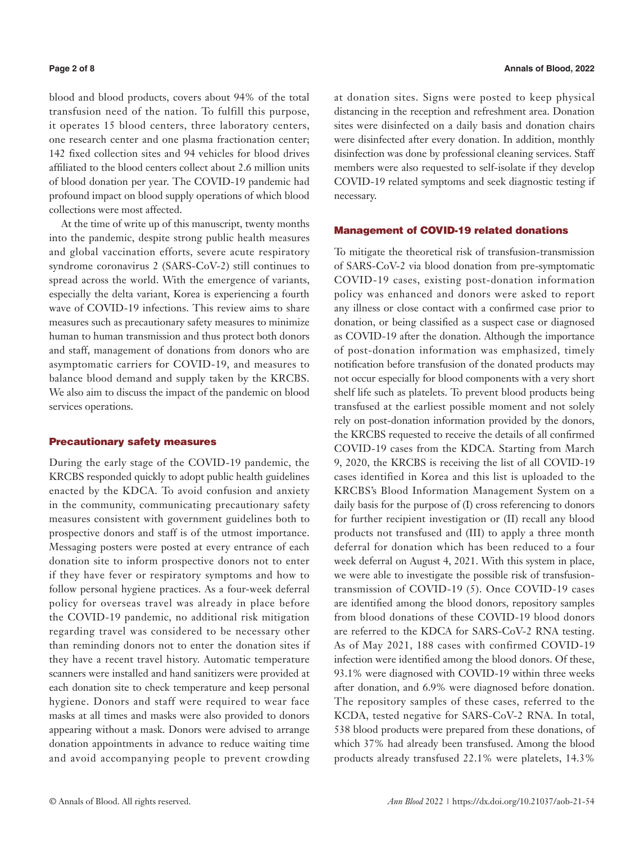blood and blood products, covers about 94% of the total transfusion need of the nation. To fulfill this purpose, it operates 15 blood centers, three laboratory centers, one research center and one plasma fractionation center; 142 fixed collection sites and 94 vehicles for blood drives affiliated to the blood centers collect about 2.6 million units of blood donation per year. The COVID-19 pandemic had profound impact on blood supply operations of which blood collections were most affected.

At the time of write up of this manuscript, twenty months into the pandemic, despite strong public health measures and global vaccination efforts, severe acute respiratory syndrome coronavirus 2 (SARS-CoV-2) still continues to spread across the world. With the emergence of variants, especially the delta variant, Korea is experiencing a fourth wave of COVID-19 infections. This review aims to share measures such as precautionary safety measures to minimize human to human transmission and thus protect both donors and staff, management of donations from donors who are asymptomatic carriers for COVID-19, and measures to balance blood demand and supply taken by the KRCBS. We also aim to discuss the impact of the pandemic on blood services operations.

# Precautionary safety measures

During the early stage of the COVID-19 pandemic, the KRCBS responded quickly to adopt public health guidelines enacted by the KDCA. To avoid confusion and anxiety in the community, communicating precautionary safety measures consistent with government guidelines both to prospective donors and staff is of the utmost importance. Messaging posters were posted at every entrance of each donation site to inform prospective donors not to enter if they have fever or respiratory symptoms and how to follow personal hygiene practices. As a four-week deferral policy for overseas travel was already in place before the COVID-19 pandemic, no additional risk mitigation regarding travel was considered to be necessary other than reminding donors not to enter the donation sites if they have a recent travel history. Automatic temperature scanners were installed and hand sanitizers were provided at each donation site to check temperature and keep personal hygiene. Donors and staff were required to wear face masks at all times and masks were also provided to donors appearing without a mask. Donors were advised to arrange donation appointments in advance to reduce waiting time and avoid accompanying people to prevent crowding at donation sites. Signs were posted to keep physical distancing in the reception and refreshment area. Donation sites were disinfected on a daily basis and donation chairs were disinfected after every donation. In addition, monthly disinfection was done by professional cleaning services. Staff members were also requested to self-isolate if they develop COVID-19 related symptoms and seek diagnostic testing if necessary.

#### Management of COVID-19 related donations

To mitigate the theoretical risk of transfusion-transmission of SARS-CoV-2 via blood donation from pre-symptomatic COVID-19 cases, existing post-donation information policy was enhanced and donors were asked to report any illness or close contact with a confirmed case prior to donation, or being classified as a suspect case or diagnosed as COVID-19 after the donation. Although the importance of post-donation information was emphasized, timely notification before transfusion of the donated products may not occur especially for blood components with a very short shelf life such as platelets. To prevent blood products being transfused at the earliest possible moment and not solely rely on post-donation information provided by the donors, the KRCBS requested to receive the details of all confirmed COVID-19 cases from the KDCA. Starting from March 9, 2020, the KRCBS is receiving the list of all COVID-19 cases identified in Korea and this list is uploaded to the KRCBS's Blood Information Management System on a daily basis for the purpose of (I) cross referencing to donors for further recipient investigation or (II) recall any blood products not transfused and (III) to apply a three month deferral for donation which has been reduced to a four week deferral on August 4, 2021. With this system in place, we were able to investigate the possible risk of transfusiontransmission of COVID-19 (5). Once COVID-19 cases are identified among the blood donors, repository samples from blood donations of these COVID-19 blood donors are referred to the KDCA for SARS-CoV-2 RNA testing. As of May 2021, 188 cases with confirmed COVID-19 infection were identified among the blood donors. Of these, 93.1% were diagnosed with COVID-19 within three weeks after donation, and 6.9% were diagnosed before donation. The repository samples of these cases, referred to the KCDA, tested negative for SARS-CoV-2 RNA. In total, 538 blood products were prepared from these donations, of which 37% had already been transfused. Among the blood products already transfused 22.1% were platelets, 14.3%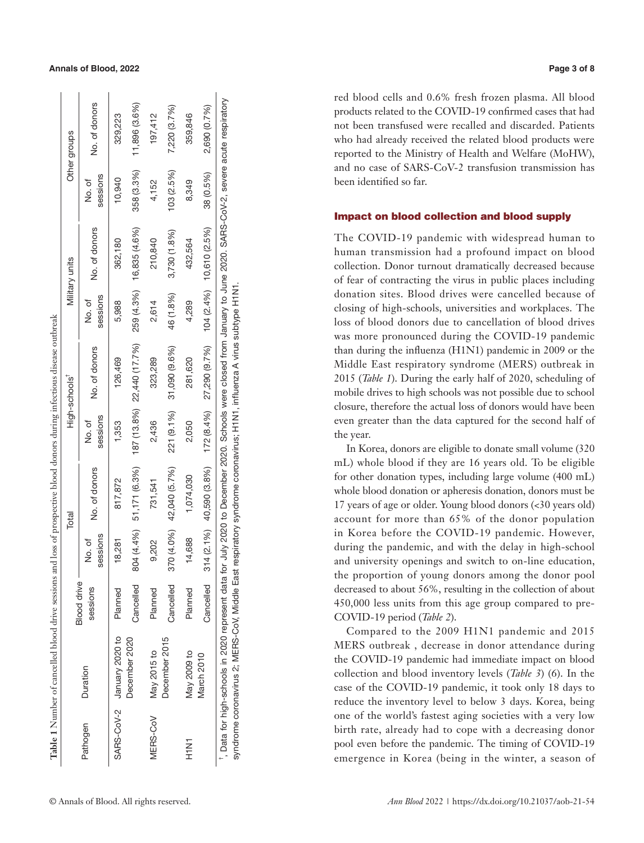# **Annals of Blood, 2022 Page 3 of 8**

| Pathogen                      | Duration      |                           |                          | Total                      |                    | High-schools <sup>1</sup>                                     |                    | Military units           |                    | Other groups  |
|-------------------------------|---------------|---------------------------|--------------------------|----------------------------|--------------------|---------------------------------------------------------------|--------------------|--------------------------|--------------------|---------------|
|                               |               | Blood drive -<br>sessions | sessions<br>to<br>No. of | No. of donors              | sessions<br>No. of | No. of donors                                                 | sessions<br>No. of | No. of donors            | sessions<br>No. of | No. of donors |
| SARS-CoV-2 January 2020 to    |               | Planned                   | 18.281                   | 817,872                    | 1.353              | 126.469                                                       | 5.988              | 362.180                  | 10.940             | 329,223       |
|                               | December 2020 | Cancelled                 |                          | 804 (4.4%) 51,171 (6.3%)   |                    | 187 (13.8%) 22,440 (17.7%)                                    |                    | 259 (4.3%) 16,835 (4.6%) | 358 (3.3%)         | 11,896 (3.6%) |
| MERS-COV                      | May 2015 to   | Planned                   | 9.202                    | 731,541                    | 2,436              | 323.289                                                       | 2.614              | 210,840                  | 4,152              | 197.412       |
|                               | December 2015 | Cancelled                 | 370 (4.0%)               | 42.040 (5.7%)              | 221 (9.1%)         | 31,090 (9.6%)                                                 | 46 (1.8%)          | 3,730(1.8%)              | 103 (2.5%)         | 7,220 (3.7%)  |
| H <sub>1</sub> N <sub>1</sub> | May 2009 to   | Planned                   | 14,688                   | 1,074,030                  | 2.050              | 281,620                                                       | 4.289              | 432.564                  | 8,349              | 359,846       |
|                               | March 2010    | Cancelled                 |                          | $314(2.1\%)$ 40.590 (3.8%) |                    | $172 (8.4\%)$ $27,290 (9.7\%)$ $104 (2.4\%)$ $10,610 (2.5\%)$ |                    |                          | 38 (0.5%)          | 2.690 (0.7%)  |

syndrome coronavirus 2; MERS-CoV, Middle East respiratory syndrome coronavirus; H1N1, influenza A virus subtype H1N1. syndrome coronavirus 2; MERS-CoV, Middle East respiratory syndrome coronavirus; H1N1, influenza A virus subtype H1N1.

red blood cells and 0.6% fresh frozen plasma. All blood products related to the COVID-19 confirmed cases that had not been transfused were recalled and discarded. Patients who had already received the related blood products were reported to the Ministry of Health and Welfare (MoHW), and no case of SARS-CoV-2 transfusion transmission has been identified so far.

# Impact on blood collection and blood supply

The COVID-19 pandemic with widespread human to human transmission had a profound impact on blood collection. Donor turnout dramatically decreased because of fear of contracting the virus in public places including donation sites. Blood drives were cancelled because of closing of high-schools, universities and workplaces. The loss of blood donors due to cancellation of blood drives was more pronounced during the COVID-19 pandemic than during the influenza (H1N1) pandemic in 2009 or the Middle East respiratory syndrome (MERS) outbreak in 2015 (*Table 1*). During the early half of 2020, scheduling of mobile drives to high schools was not possible due to school closure, therefore the actual loss of donors would have been even greater than the data captured for the second half of the year.

In Korea, donors are eligible to donate small volume (320 mL) whole blood if they are 16 years old. To be eligible for other donation types, including large volume (400 mL) whole blood donation or apheresis donation, donors must be 17 years of age or older. Young blood donors (<30 years old) account for more than 65% of the donor population in Korea before the COVID-19 pandemic. However, during the pandemic, and with the delay in high-school and university openings and switch to on-line education, the proportion of young donors among the donor pool decreased to about 56%, resulting in the collection of about 450,000 less units from this age group compared to pre-COVID-19 period (*Table 2*).

Compared to the 2009 H1N1 pandemic and 2015 MERS outbreak , decrease in donor attendance during the COVID-19 pandemic had immediate impact on blood collection and blood inventory levels (*Table 3*) (6). In the case of the COVID-19 pandemic, it took only 18 days to reduce the inventory level to below 3 days. Korea, being one of the world's fastest aging societies with a very low birth rate, already had to cope with a decreasing donor pool even before the pandemic. The timing of COVID-19 emergence in Korea (being in the winter, a season of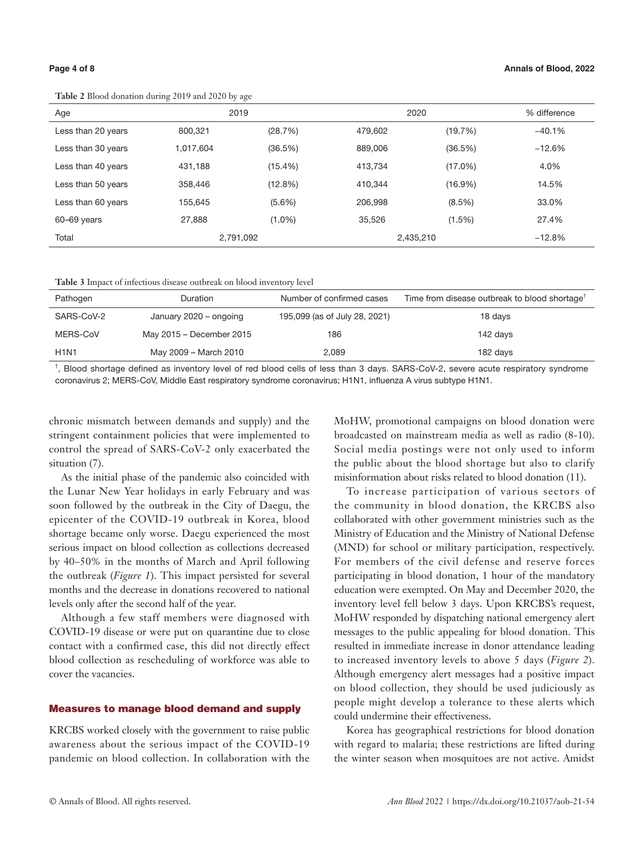**Table 2** Blood donation during 2019 and 2020 by age

| <b>Table 2</b> Diood domation during 2017 and 2020 by age |           |            |           |            |              |
|-----------------------------------------------------------|-----------|------------|-----------|------------|--------------|
| Age                                                       | 2019      |            | 2020      |            | % difference |
| Less than 20 years                                        | 800.321   | (28.7%)    | 479.602   | (19.7%)    | $-40.1%$     |
| Less than 30 years                                        | 1,017,604 | (36.5%)    | 889,006   | (36.5%)    | $-12.6%$     |
| Less than 40 years                                        | 431,188   | $(15.4\%)$ | 413,734   | $(17.0\%)$ | 4.0%         |
| Less than 50 years                                        | 358.446   | $(12.8\%)$ | 410.344   | $(16.9\%)$ | 14.5%        |
| Less than 60 years                                        | 155,645   | $(5.6\%)$  | 206,998   | $(8.5\%)$  | 33.0%        |
| $60 - 69$ years                                           | 27,888    | $(1.0\%)$  | 35,526    | $(1.5\%)$  | 27.4%        |
| Total                                                     | 2,791,092 |            | 2,435,210 |            | $-12.8%$     |

**Table 3** Impact of infectious disease outbreak on blood inventory level

| Pathogen                      | Duration                 | Number of confirmed cases     | Time from disease outbreak to blood shortage <sup>T</sup> |
|-------------------------------|--------------------------|-------------------------------|-----------------------------------------------------------|
| SARS-CoV-2                    | January 2020 - ongoing   | 195,099 (as of July 28, 2021) | 18 days                                                   |
| MERS-CoV                      | May 2015 - December 2015 | 186                           | 142 days                                                  |
| H <sub>1</sub> N <sub>1</sub> | May 2009 - March 2010    | 2,089                         | 182 days                                                  |

† , Blood shortage defined as inventory level of red blood cells of less than 3 days. SARS-CoV-2, severe acute respiratory syndrome coronavirus 2; MERS-CoV, Middle East respiratory syndrome coronavirus; H1N1, influenza A virus subtype H1N1.

chronic mismatch between demands and supply) and the stringent containment policies that were implemented to control the spread of SARS-CoV-2 only exacerbated the situation (7).

As the initial phase of the pandemic also coincided with the Lunar New Year holidays in early February and was soon followed by the outbreak in the City of Daegu, the epicenter of the COVID-19 outbreak in Korea, blood shortage became only worse. Daegu experienced the most serious impact on blood collection as collections decreased by 40–50% in the months of March and April following the outbreak (*Figure 1*). This impact persisted for several months and the decrease in donations recovered to national levels only after the second half of the year.

Although a few staff members were diagnosed with COVID-19 disease or were put on quarantine due to close contact with a confirmed case, this did not directly effect blood collection as rescheduling of workforce was able to cover the vacancies.

### Measures to manage blood demand and supply

KRCBS worked closely with the government to raise public awareness about the serious impact of the COVID-19 pandemic on blood collection. In collaboration with the MoHW, promotional campaigns on blood donation were broadcasted on mainstream media as well as radio (8-10). Social media postings were not only used to inform the public about the blood shortage but also to clarify misinformation about risks related to blood donation (11).

To increase participation of various sectors of the community in blood donation, the KRCBS also collaborated with other government ministries such as the Ministry of Education and the Ministry of National Defense (MND) for school or military participation, respectively. For members of the civil defense and reserve forces participating in blood donation, 1 hour of the mandatory education were exempted. On May and December 2020, the inventory level fell below 3 days. Upon KRCBS's request, MoHW responded by dispatching national emergency alert messages to the public appealing for blood donation. This resulted in immediate increase in donor attendance leading to increased inventory levels to above 5 days (*Figure 2*). Although emergency alert messages had a positive impact on blood collection, they should be used judiciously as people might develop a tolerance to these alerts which could undermine their effectiveness.

Korea has geographical restrictions for blood donation with regard to malaria; these restrictions are lifted during the winter season when mosquitoes are not active. Amidst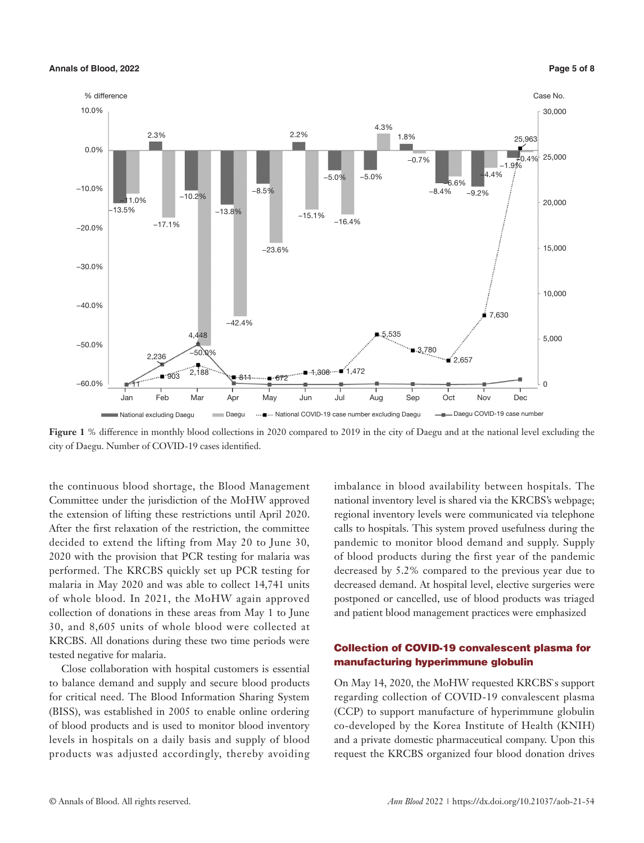#### **Annals of Blood, 2022 Page 5 of 8**

#### % difference Case No. 30,000 25,000 20,000 15,000 10,000 5,000 0 10.0% 0.0% −10.0% −20.0% −30.0% −40.0% −50.0% −60.0% 2.3% −11.0% −13.5% −17.1% −10.2% −13.8% −8.5% −23.6% −42.4% −50.0% −15.1% −16.4% −5.0% −5.0% 2.2% 4.3% 1.8% −0.7% −8.4% −6.6% −9.2% −4.4% −1.9%  $0.404$ 25,963 2,236 11 Jan Feb Mar Apr May Jun Jul Aug Sep Oct Nov Dec National excluding Daegu Daegu  $\cdots$  Daegu National COVID-19 case number excluding Daegu  $\qquad$  Daegu COVID-19 case number 903 <sup>2</sup>,188 مسبب <sub>1,</sub>308 - 1,472 − 1,472 1,472 − 1,472 − 1,472 ■.5.535  $-3.780$ 2,657 7,630 4,448

**Figure 1** % difference in monthly blood collections in 2020 compared to 2019 in the city of Daegu and at the national level excluding the city of Daegu. Number of COVID-19 cases identified.

the continuous blood shortage, the Blood Management Committee under the jurisdiction of the MoHW approved the extension of lifting these restrictions until April 2020. After the first relaxation of the restriction, the committee decided to extend the lifting from May 20 to June 30, 2020 with the provision that PCR testing for malaria was performed. The KRCBS quickly set up PCR testing for malaria in May 2020 and was able to collect 14,741 units of whole blood. In 2021, the MoHW again approved collection of donations in these areas from May 1 to June 30, and 8,605 units of whole blood were collected at KRCBS. All donations during these two time periods were tested negative for malaria.

Close collaboration with hospital customers is essential to balance demand and supply and secure blood products for critical need. The Blood Information Sharing System (BISS), was established in 2005 to enable online ordering of blood products and is used to monitor blood inventory levels in hospitals on a daily basis and supply of blood products was adjusted accordingly, thereby avoiding imbalance in blood availability between hospitals. The national inventory level is shared via the KRCBS's webpage; regional inventory levels were communicated via telephone calls to hospitals. This system proved usefulness during the pandemic to monitor blood demand and supply. Supply of blood products during the first year of the pandemic decreased by 5.2% compared to the previous year due to decreased demand. At hospital level, elective surgeries were postponed or cancelled, use of blood products was triaged and patient blood management practices were emphasized

# Collection of COVID-19 convalescent plasma for manufacturing hyperimmune globulin

On May 14, 2020, the MoHW requested KRCBS`s support regarding collection of COVID-19 convalescent plasma (CCP) to support manufacture of hyperimmune globulin co-developed by the Korea Institute of Health (KNIH) and a private domestic pharmaceutical company. Upon this request the KRCBS organized four blood donation drives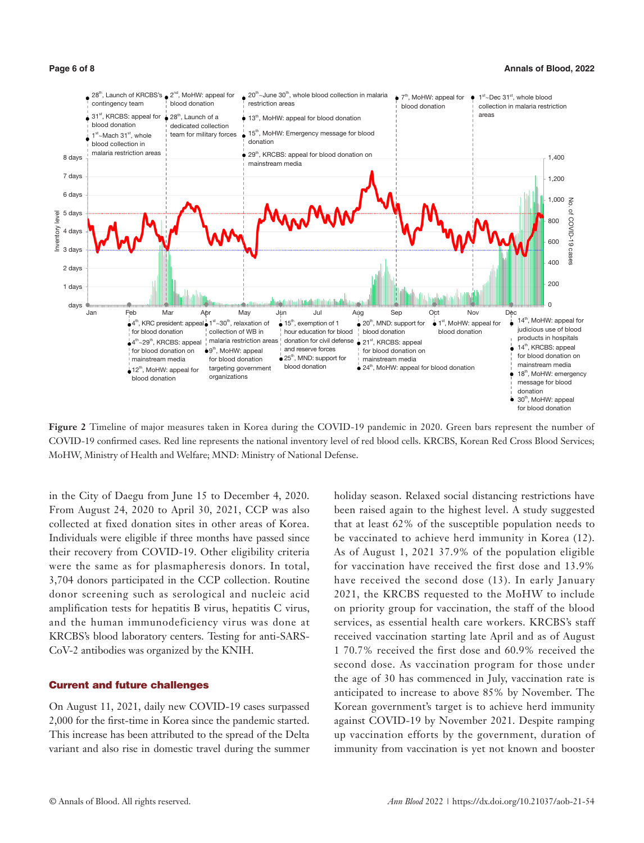

**Figure 2** Timeline of major measures taken in Korea during the COVID-19 pandemic in 2020. Green bars represent the number of COVID-19 confirmed cases. Red line represents the national inventory level of red blood cells. KRCBS, Korean Red Cross Blood Services; MoHW, Ministry of Health and Welfare; MND: Ministry of National Defense.

in the City of Daegu from June 15 to December 4, 2020. From August 24, 2020 to April 30, 2021, CCP was also collected at fixed donation sites in other areas of Korea. Individuals were eligible if three months have passed since their recovery from COVID-19. Other eligibility criteria were the same as for plasmapheresis donors. In total, 3,704 donors participated in the CCP collection. Routine donor screening such as serological and nucleic acid amplification tests for hepatitis B virus, hepatitis C virus, and the human immunodeficiency virus was done at KRCBS's blood laboratory centers. Testing for anti-SARS-CoV-2 antibodies was organized by the KNIH.

# Current and future challenges

On August 11, 2021, daily new COVID-19 cases surpassed 2,000 for the first-time in Korea since the pandemic started. This increase has been attributed to the spread of the Delta variant and also rise in domestic travel during the summer holiday season. Relaxed social distancing restrictions have been raised again to the highest level. A study suggested that at least 62% of the susceptible population needs to be vaccinated to achieve herd immunity in Korea (12). As of August 1, 2021 37.9% of the population eligible for vaccination have received the first dose and 13.9% have received the second dose (13). In early January 2021, the KRCBS requested to the MoHW to include on priority group for vaccination, the staff of the blood services, as essential health care workers. KRCBS's staff received vaccination starting late April and as of August 1 70.7% received the first dose and 60.9% received the second dose. As vaccination program for those under the age of 30 has commenced in July, vaccination rate is anticipated to increase to above 85% by November. The Korean government's target is to achieve herd immunity against COVID-19 by November 2021. Despite ramping up vaccination efforts by the government, duration of immunity from vaccination is yet not known and booster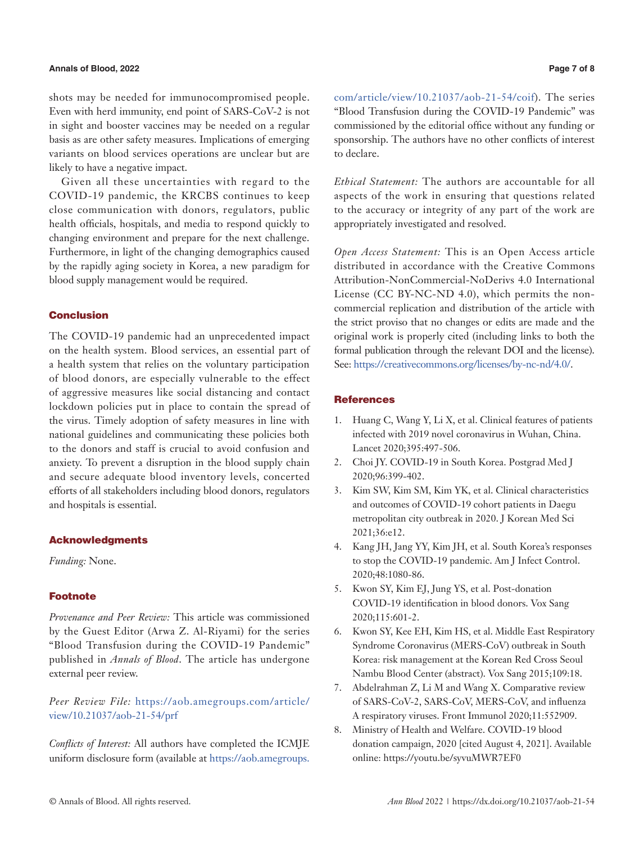# **Annals of Blood, 2022 Page 7 of 8**

shots may be needed for immunocompromised people. Even with herd immunity, end point of SARS-CoV-2 is not in sight and booster vaccines may be needed on a regular basis as are other safety measures. Implications of emerging variants on blood services operations are unclear but are likely to have a negative impact.

Given all these uncertainties with regard to the COVID-19 pandemic, the KRCBS continues to keep close communication with donors, regulators, public health officials, hospitals, and media to respond quickly to changing environment and prepare for the next challenge. Furthermore, in light of the changing demographics caused by the rapidly aging society in Korea, a new paradigm for blood supply management would be required.

### Conclusion

The COVID-19 pandemic had an unprecedented impact on the health system. Blood services, an essential part of a health system that relies on the voluntary participation of blood donors, are especially vulnerable to the effect of aggressive measures like social distancing and contact lockdown policies put in place to contain the spread of the virus. Timely adoption of safety measures in line with national guidelines and communicating these policies both to the donors and staff is crucial to avoid confusion and anxiety. To prevent a disruption in the blood supply chain and secure adequate blood inventory levels, concerted efforts of all stakeholders including blood donors, regulators and hospitals is essential.

# Acknowledgments

*Funding:* None.

# **Footnote**

*Provenance and Peer Review:* This article was commissioned by the Guest Editor (Arwa Z. Al-Riyami) for the series "Blood Transfusion during the COVID-19 Pandemic" published in *Annals of Blood*. The article has undergone external peer review.

*Peer Review File:* [https://aob.amegroups.com/article/](https://aob.amegroups.com/article/view/10.21037/aob-21-54/prf ) [view/10.21037/aob-21-54/prf](https://aob.amegroups.com/article/view/10.21037/aob-21-54/prf ) 

*Conflicts of Interest:* All authors have completed the ICMJE uniform disclosure form (available at [https://aob.amegroups.](https://aob.amegroups.com/article/view/10.21037/aob-21-54/coif) [com/article/view/10.21037/aob-21-54/coif](https://aob.amegroups.com/article/view/10.21037/aob-21-54/coif)). The series "Blood Transfusion during the COVID-19 Pandemic" was commissioned by the editorial office without any funding or sponsorship. The authors have no other conflicts of interest to declare.

*Ethical Statement:* The authors are accountable for all aspects of the work in ensuring that questions related to the accuracy or integrity of any part of the work are appropriately investigated and resolved.

*Open Access Statement:* This is an Open Access article distributed in accordance with the Creative Commons Attribution-NonCommercial-NoDerivs 4.0 International License (CC BY-NC-ND 4.0), which permits the noncommercial replication and distribution of the article with the strict proviso that no changes or edits are made and the original work is properly cited (including links to both the formal publication through the relevant DOI and the license). See: [https://creativecommons.org/licenses/by-nc-nd/4.0/.](https://creativecommons.org/licenses/by-nc-nd/4.0/)

### **References**

- 1. Huang C, Wang Y, Li X, et al. Clinical features of patients infected with 2019 novel coronavirus in Wuhan, China. Lancet 2020;395:497-506.
- 2. Choi JY. COVID-19 in South Korea. Postgrad Med J 2020;96:399-402.
- 3. Kim SW, Kim SM, Kim YK, et al. Clinical characteristics and outcomes of COVID-19 cohort patients in Daegu metropolitan city outbreak in 2020. J Korean Med Sci 2021;36:e12.
- 4. Kang JH, Jang YY, Kim JH, et al. South Korea's responses to stop the COVID-19 pandemic. Am J Infect Control. 2020;48:1080-86.
- 5. Kwon SY, Kim EJ, Jung YS, et al. Post-donation COVID-19 identification in blood donors. Vox Sang 2020;115:601-2.
- 6. Kwon SY, Kee EH, Kim HS, et al. Middle East Respiratory Syndrome Coronavirus (MERS-CoV) outbreak in South Korea: risk management at the Korean Red Cross Seoul Nambu Blood Center (abstract). Vox Sang 2015;109:18.
- 7. Abdelrahman Z, Li M and Wang X. Comparative review of SARS-CoV-2, SARS-CoV, MERS-CoV, and influenza A respiratory viruses. Front Immunol 2020;11:552909.
- 8. Ministry of Health and Welfare. COVID-19 blood donation campaign, 2020 [cited August 4, 2021]. Available online: https://youtu.be/syvuMWR7EF0